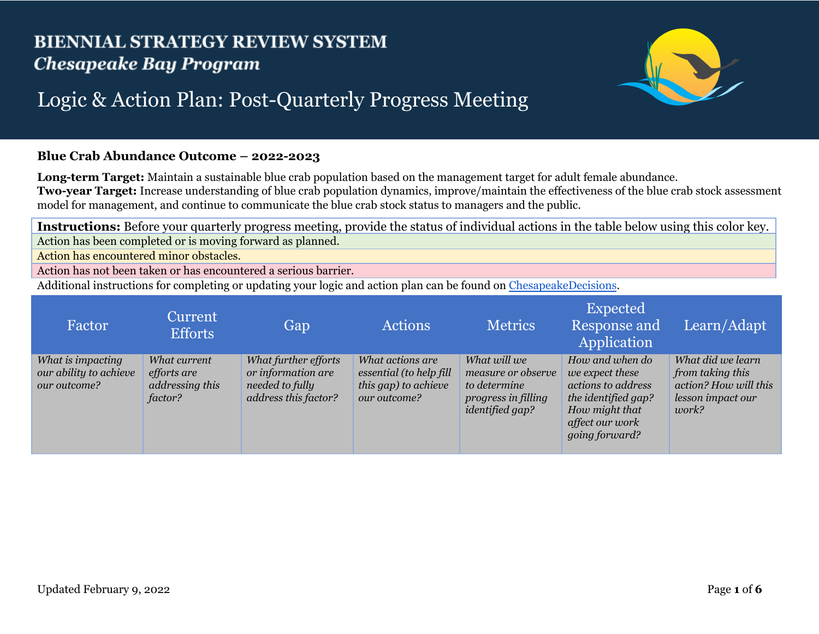## **BIENNIAL STRATEGY REVIEW SYSTEM Chesapeake Bay Program**



## Logic & Action Plan: Post-Quarterly Progress Meeting

## **Blue Crab Abundance Outcome – 2022-2023**

**Long-term Target:** Maintain a sustainable blue crab population based on the management target for adult female abundance. **Two-year Target:** Increase understanding of blue crab population dynamics, improve/maintain the effectiveness of the blue crab stock assessment model for management, and continue to communicate the blue crab stock status to managers and the public.

**Instructions:** Before your quarterly progress meeting, provide the status of individual actions in the table below using this color key. Action has been completed or is moving forward as planned.

Action has encountered minor obstacles.

Action has not been taken or has encountered a serious barrier.

Additional instructions for completing or updating your logic and action plan can be found on [ChesapeakeDecisions](https://www.chesapeakebay.net/decisions).

| Factor                                                      | Current<br><b>Efforts</b>                                 | Gap                                                                                   | <b>Actions</b>                                                                      | <b>Metrics</b>                                                                               | <b>Expected</b><br>Response and<br>Application                                                                                         | Learn/Adapt                                                                                  |
|-------------------------------------------------------------|-----------------------------------------------------------|---------------------------------------------------------------------------------------|-------------------------------------------------------------------------------------|----------------------------------------------------------------------------------------------|----------------------------------------------------------------------------------------------------------------------------------------|----------------------------------------------------------------------------------------------|
| What is impacting<br>our ability to achieve<br>our outcome? | What current<br>efforts are<br>addressing this<br>factor? | What further efforts<br>or information are<br>needed to fully<br>address this factor? | What actions are<br>essential (to help fill<br>this gap) to achieve<br>our outcome? | What will we<br>measure or observe<br>to determine<br>progress in filling<br>identified gap? | How and when do<br>we expect these<br>actions to address<br>the identified gap?<br>How might that<br>affect our work<br>going forward? | What did we learn<br>from taking this<br>action? How will this<br>lesson impact our<br>work? |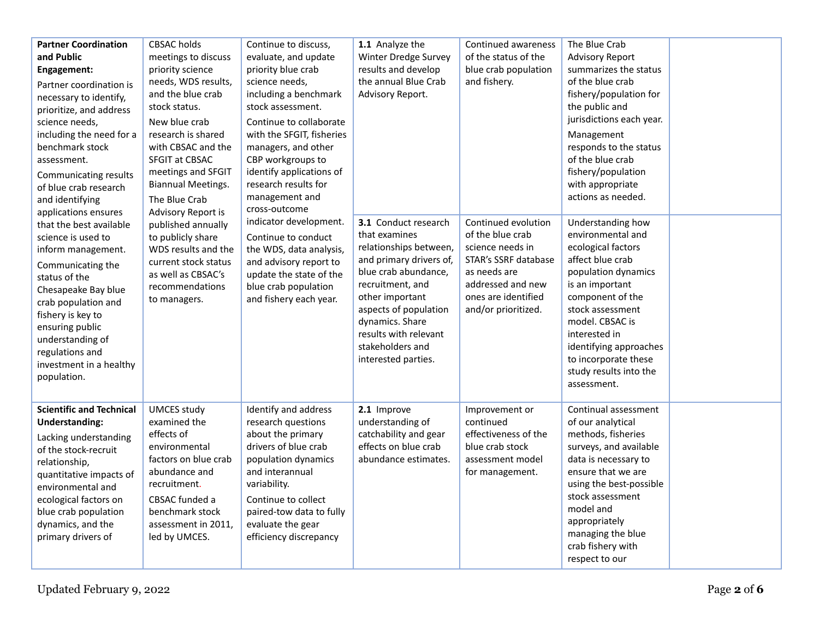| <b>Partner Coordination</b><br>and Public<br>Engagement:<br>Partner coordination is<br>necessary to identify,<br>prioritize, and address<br>science needs,<br>including the need for a<br>benchmark stock<br>assessment.<br>Communicating results<br>of blue crab research<br>and identifying<br>applications ensures<br>that the best available<br>science is used to<br>inform management.<br>Communicating the<br>status of the<br>Chesapeake Bay blue<br>crab population and<br>fishery is key to<br>ensuring public<br>understanding of<br>regulations and<br>investment in a healthy<br>population. | <b>CBSAC</b> holds<br>meetings to discuss<br>priority science<br>needs, WDS results,<br>and the blue crab<br>stock status.<br>New blue crab<br>research is shared<br>with CBSAC and the<br>SFGIT at CBSAC<br>meetings and SFGIT<br><b>Biannual Meetings.</b><br>The Blue Crab<br>Advisory Report is<br>published annually<br>to publicly share<br>WDS results and the<br>current stock status<br>as well as CBSAC's<br>recommendations<br>to managers. | Continue to discuss,<br>evaluate, and update<br>priority blue crab<br>science needs,<br>including a benchmark<br>stock assessment.<br>Continue to collaborate<br>with the SFGIT, fisheries<br>managers, and other<br>CBP workgroups to<br>identify applications of<br>research results for<br>management and<br>cross-outcome<br>indicator development.<br>Continue to conduct<br>the WDS, data analysis,<br>and advisory report to<br>update the state of the<br>blue crab population<br>and fishery each year. | 1.1 Analyze the<br>Winter Dredge Survey<br>results and develop<br>the annual Blue Crab<br>Advisory Report.<br>3.1 Conduct research<br>that examines<br>relationships between,<br>and primary drivers of,<br>blue crab abundance,<br>recruitment, and<br>other important<br>aspects of population<br>dynamics. Share<br>results with relevant<br>stakeholders and<br>interested parties. | Continued awareness<br>of the status of the<br>blue crab population<br>and fishery.<br>Continued evolution<br>of the blue crab<br>science needs in<br>STAR's SSRF database<br>as needs are<br>addressed and new<br>ones are identified<br>and/or prioritized. | The Blue Crab<br><b>Advisory Report</b><br>summarizes the status<br>of the blue crab<br>fishery/population for<br>the public and<br>jurisdictions each year.<br>Management<br>responds to the status<br>of the blue crab<br>fishery/population<br>with appropriate<br>actions as needed.<br>Understanding how<br>environmental and<br>ecological factors<br>affect blue crab<br>population dynamics<br>is an important<br>component of the<br>stock assessment<br>model. CBSAC is<br>interested in<br>identifying approaches<br>to incorporate these<br>study results into the<br>assessment. |  |
|-----------------------------------------------------------------------------------------------------------------------------------------------------------------------------------------------------------------------------------------------------------------------------------------------------------------------------------------------------------------------------------------------------------------------------------------------------------------------------------------------------------------------------------------------------------------------------------------------------------|--------------------------------------------------------------------------------------------------------------------------------------------------------------------------------------------------------------------------------------------------------------------------------------------------------------------------------------------------------------------------------------------------------------------------------------------------------|------------------------------------------------------------------------------------------------------------------------------------------------------------------------------------------------------------------------------------------------------------------------------------------------------------------------------------------------------------------------------------------------------------------------------------------------------------------------------------------------------------------|-----------------------------------------------------------------------------------------------------------------------------------------------------------------------------------------------------------------------------------------------------------------------------------------------------------------------------------------------------------------------------------------|---------------------------------------------------------------------------------------------------------------------------------------------------------------------------------------------------------------------------------------------------------------|-----------------------------------------------------------------------------------------------------------------------------------------------------------------------------------------------------------------------------------------------------------------------------------------------------------------------------------------------------------------------------------------------------------------------------------------------------------------------------------------------------------------------------------------------------------------------------------------------|--|
| <b>Scientific and Technical</b><br>Understanding:<br>Lacking understanding<br>of the stock-recruit<br>relationship,<br>quantitative impacts of<br>environmental and<br>ecological factors on<br>blue crab population<br>dynamics, and the<br>primary drivers of                                                                                                                                                                                                                                                                                                                                           | <b>UMCES study</b><br>examined the<br>effects of<br>environmental<br>factors on blue crab<br>abundance and<br>recruitment.<br>CBSAC funded a<br>benchmark stock<br>assessment in 2011,<br>led by UMCES.                                                                                                                                                                                                                                                | Identify and address<br>research questions<br>about the primary<br>drivers of blue crab<br>population dynamics<br>and interannual<br>variability.<br>Continue to collect<br>paired-tow data to fully<br>evaluate the gear<br>efficiency discrepancy                                                                                                                                                                                                                                                              | 2.1 Improve<br>understanding of<br>catchability and gear<br>effects on blue crab<br>abundance estimates.                                                                                                                                                                                                                                                                                | Improvement or<br>continued<br>effectiveness of the<br>blue crab stock<br>assessment model<br>for management.                                                                                                                                                 | Continual assessment<br>of our analytical<br>methods, fisheries<br>surveys, and available<br>data is necessary to<br>ensure that we are<br>using the best-possible<br>stock assessment<br>model and<br>appropriately<br>managing the blue<br>crab fishery with<br>respect to our                                                                                                                                                                                                                                                                                                              |  |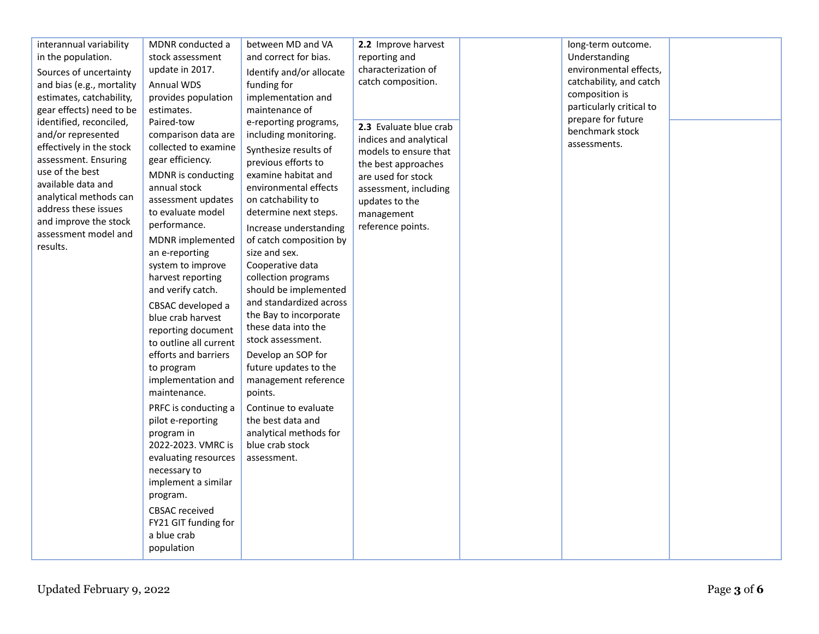| interannual variability<br>in the population.<br>Sources of uncertainty<br>and bias (e.g., mortality<br>estimates, catchability,<br>gear effects) need to be<br>identified, reconciled,<br>and/or represented<br>effectively in the stock<br>assessment. Ensuring<br>use of the best<br>available data and<br>analytical methods can<br>address these issues<br>and improve the stock<br>assessment model and<br>results. | MDNR conducted a<br>stock assessment<br>update in 2017.<br>Annual WDS<br>provides population<br>estimates.<br>Paired-tow<br>comparison data are<br>collected to examine<br>gear efficiency.<br>MDNR is conducting<br>annual stock<br>assessment updates<br>to evaluate model<br>performance.<br><b>MDNR</b> implemented<br>an e-reporting<br>system to improve<br>harvest reporting<br>and verify catch.<br>CBSAC developed a<br>blue crab harvest<br>reporting document<br>to outline all current<br>efforts and barriers<br>to program<br>implementation and<br>maintenance.<br>PRFC is conducting a<br>pilot e-reporting<br>program in<br>2022-2023. VMRC is<br>evaluating resources<br>necessary to<br>implement a similar<br>program.<br><b>CBSAC</b> received<br>FY21 GIT funding for<br>a blue crab<br>population | between MD and VA<br>and correct for bias.<br>Identify and/or allocate<br>funding for<br>implementation and<br>maintenance of<br>e-reporting programs,<br>including monitoring.<br>Synthesize results of<br>previous efforts to<br>examine habitat and<br>environmental effects<br>on catchability to<br>determine next steps.<br>Increase understanding<br>of catch composition by<br>size and sex.<br>Cooperative data<br>collection programs<br>should be implemented<br>and standardized across<br>the Bay to incorporate<br>these data into the<br>stock assessment.<br>Develop an SOP for<br>future updates to the<br>management reference<br>points.<br>Continue to evaluate<br>the best data and<br>analytical methods for<br>blue crab stock<br>assessment. | 2.2 Improve harvest<br>reporting and<br>characterization of<br>catch composition.<br>2.3 Evaluate blue crab<br>indices and analytical<br>models to ensure that<br>the best approaches<br>are used for stock<br>assessment, including<br>updates to the<br>management<br>reference points. |  | long-term outcome.<br>Understanding<br>environmental effects,<br>catchability, and catch<br>composition is<br>particularly critical to<br>prepare for future<br>benchmark stock<br>assessments. |  |
|---------------------------------------------------------------------------------------------------------------------------------------------------------------------------------------------------------------------------------------------------------------------------------------------------------------------------------------------------------------------------------------------------------------------------|--------------------------------------------------------------------------------------------------------------------------------------------------------------------------------------------------------------------------------------------------------------------------------------------------------------------------------------------------------------------------------------------------------------------------------------------------------------------------------------------------------------------------------------------------------------------------------------------------------------------------------------------------------------------------------------------------------------------------------------------------------------------------------------------------------------------------|----------------------------------------------------------------------------------------------------------------------------------------------------------------------------------------------------------------------------------------------------------------------------------------------------------------------------------------------------------------------------------------------------------------------------------------------------------------------------------------------------------------------------------------------------------------------------------------------------------------------------------------------------------------------------------------------------------------------------------------------------------------------|-------------------------------------------------------------------------------------------------------------------------------------------------------------------------------------------------------------------------------------------------------------------------------------------|--|-------------------------------------------------------------------------------------------------------------------------------------------------------------------------------------------------|--|
|---------------------------------------------------------------------------------------------------------------------------------------------------------------------------------------------------------------------------------------------------------------------------------------------------------------------------------------------------------------------------------------------------------------------------|--------------------------------------------------------------------------------------------------------------------------------------------------------------------------------------------------------------------------------------------------------------------------------------------------------------------------------------------------------------------------------------------------------------------------------------------------------------------------------------------------------------------------------------------------------------------------------------------------------------------------------------------------------------------------------------------------------------------------------------------------------------------------------------------------------------------------|----------------------------------------------------------------------------------------------------------------------------------------------------------------------------------------------------------------------------------------------------------------------------------------------------------------------------------------------------------------------------------------------------------------------------------------------------------------------------------------------------------------------------------------------------------------------------------------------------------------------------------------------------------------------------------------------------------------------------------------------------------------------|-------------------------------------------------------------------------------------------------------------------------------------------------------------------------------------------------------------------------------------------------------------------------------------------|--|-------------------------------------------------------------------------------------------------------------------------------------------------------------------------------------------------|--|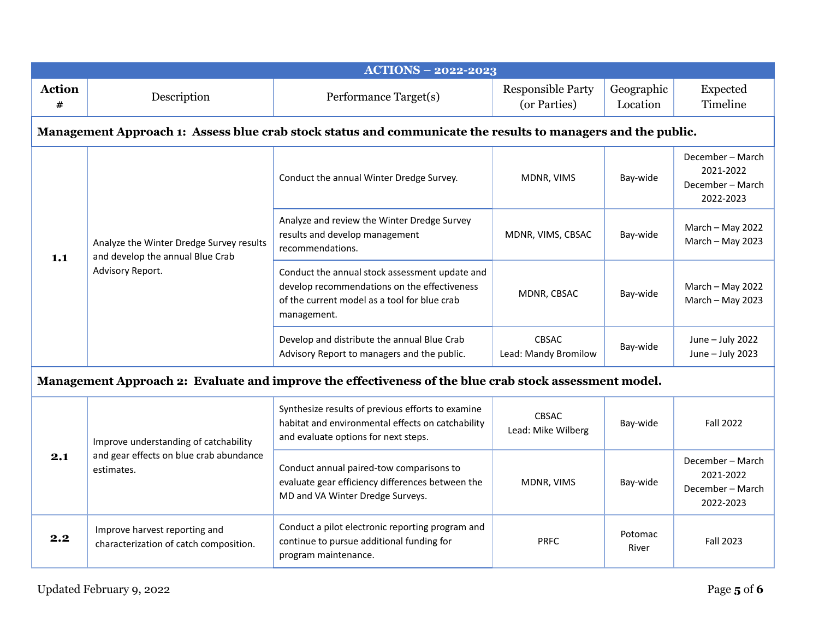| <b>ACTIONS - 2022-2023</b>                                                                                   |                                                                                                  |                                                                                                                                                                              |                                          |                        |                                                                |  |  |  |
|--------------------------------------------------------------------------------------------------------------|--------------------------------------------------------------------------------------------------|------------------------------------------------------------------------------------------------------------------------------------------------------------------------------|------------------------------------------|------------------------|----------------------------------------------------------------|--|--|--|
| <b>Action</b><br>#                                                                                           | Description                                                                                      | Performance Target(s)                                                                                                                                                        | <b>Responsible Party</b><br>(or Parties) | Geographic<br>Location | Expected<br>Timeline                                           |  |  |  |
| Management Approach 1: Assess blue crab stock status and communicate the results to managers and the public. |                                                                                                  |                                                                                                                                                                              |                                          |                        |                                                                |  |  |  |
| 1.1                                                                                                          | Analyze the Winter Dredge Survey results<br>and develop the annual Blue Crab<br>Advisory Report. | Conduct the annual Winter Dredge Survey.<br>MDNR, VIMS                                                                                                                       |                                          | Bay-wide               | December - March<br>2021-2022<br>December - March<br>2022-2023 |  |  |  |
|                                                                                                              |                                                                                                  | Analyze and review the Winter Dredge Survey<br>results and develop management<br>MDNR, VIMS, CBSAC<br>recommendations.                                                       |                                          | Bay-wide               | March - May 2022<br>March - May 2023                           |  |  |  |
|                                                                                                              |                                                                                                  | Conduct the annual stock assessment update and<br>develop recommendations on the effectiveness<br>MDNR, CBSAC<br>of the current model as a tool for blue crab<br>management. |                                          | Bay-wide               | March - May 2022<br>March - May 2023                           |  |  |  |
|                                                                                                              |                                                                                                  | Develop and distribute the annual Blue Crab<br>Advisory Report to managers and the public.                                                                                   | <b>CBSAC</b><br>Lead: Mandy Bromilow     | Bay-wide               | June - July 2022<br>June - July 2023                           |  |  |  |
| Management Approach 2: Evaluate and improve the effectiveness of the blue crab stock assessment model.       |                                                                                                  |                                                                                                                                                                              |                                          |                        |                                                                |  |  |  |
| 2.1                                                                                                          | Improve understanding of catchability<br>and gear effects on blue crab abundance<br>estimates.   | Synthesize results of previous efforts to examine<br>habitat and environmental effects on catchability<br>and evaluate options for next steps.                               | CBSAC<br>Lead: Mike Wilberg              | Bay-wide               | <b>Fall 2022</b>                                               |  |  |  |
|                                                                                                              |                                                                                                  | Conduct annual paired-tow comparisons to<br>evaluate gear efficiency differences between the<br>MD and VA Winter Dredge Surveys.                                             | MDNR, VIMS                               | Bay-wide               | December - March<br>2021-2022<br>December - March<br>2022-2023 |  |  |  |
| 2.2                                                                                                          | Improve harvest reporting and<br>characterization of catch composition.                          | Conduct a pilot electronic reporting program and<br>continue to pursue additional funding for<br>program maintenance.                                                        | <b>PRFC</b>                              | Potomac<br>River       | <b>Fall 2023</b>                                               |  |  |  |